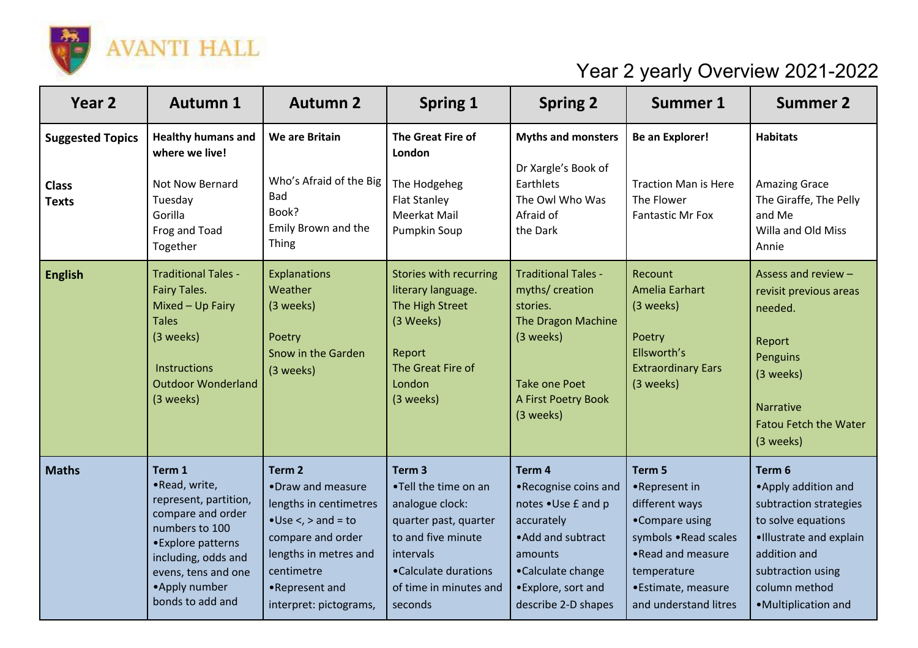

## Year 2 yearly Overview 2021-2022

| Year <sub>2</sub>                                       | <b>Autumn 1</b>                                                                                                                                                                                 | <b>Autumn 2</b>                                                                                                                                                                                         | <b>Spring 1</b>                                                                                                                                                                       | <b>Spring 2</b>                                                                                                                                                        | <b>Summer 1</b>                                                                                                                                                         | <b>Summer 2</b>                                                                                                                                                                        |
|---------------------------------------------------------|-------------------------------------------------------------------------------------------------------------------------------------------------------------------------------------------------|---------------------------------------------------------------------------------------------------------------------------------------------------------------------------------------------------------|---------------------------------------------------------------------------------------------------------------------------------------------------------------------------------------|------------------------------------------------------------------------------------------------------------------------------------------------------------------------|-------------------------------------------------------------------------------------------------------------------------------------------------------------------------|----------------------------------------------------------------------------------------------------------------------------------------------------------------------------------------|
| <b>Suggested Topics</b><br><b>Class</b><br><b>Texts</b> | <b>Healthy humans and</b><br>where we live!<br>Not Now Bernard<br>Tuesday<br>Gorilla<br>Frog and Toad<br>Together                                                                               | We are Britain<br>Who's Afraid of the Big<br>Bad<br>Book?<br>Emily Brown and the<br>Thing                                                                                                               | The Great Fire of<br>London<br>The Hodgeheg<br><b>Flat Stanley</b><br>Meerkat Mail<br><b>Pumpkin Soup</b>                                                                             | <b>Myths and monsters</b><br>Dr Xargle's Book of<br>Earthlets<br>The Owl Who Was<br>Afraid of<br>the Dark                                                              | <b>Be an Explorer!</b><br><b>Traction Man is Here</b><br>The Flower<br><b>Fantastic Mr Fox</b>                                                                          | <b>Habitats</b><br><b>Amazing Grace</b><br>The Giraffe, The Pelly<br>and Me<br>Willa and Old Miss<br>Annie                                                                             |
| <b>English</b>                                          | <b>Traditional Tales -</b><br>Fairy Tales.<br>Mixed - Up Fairy<br><b>Tales</b><br>(3 weeks)<br><b>Instructions</b><br><b>Outdoor Wonderland</b><br>(3 weeks)                                    | <b>Explanations</b><br>Weather<br>(3 weeks)<br>Poetry<br>Snow in the Garden<br>(3 weeks)                                                                                                                | Stories with recurring<br>literary language.<br>The High Street<br>(3 Weeks)<br>Report<br>The Great Fire of<br>London<br>(3 weeks)                                                    | <b>Traditional Tales -</b><br>myths/ creation<br>stories.<br>The Dragon Machine<br>(3 weeks)<br><b>Take one Poet</b><br>A First Poetry Book<br>(3 weeks)               | Recount<br>Amelia Earhart<br>(3 weeks)<br>Poetry<br>Ellsworth's<br><b>Extraordinary Ears</b><br>(3 weeks)                                                               | Assess and review -<br>revisit previous areas<br>needed.<br>Report<br>Penguins<br>(3 weeks)<br><b>Narrative</b><br><b>Fatou Fetch the Water</b><br>(3 weeks)                           |
| <b>Maths</b>                                            | Term 1<br>·Read, write,<br>represent, partition,<br>compare and order<br>numbers to 100<br>•Explore patterns<br>including, odds and<br>evens, tens and one<br>•Apply number<br>bonds to add and | Term <sub>2</sub><br>•Draw and measure<br>lengths in centimetres<br>$\bullet$ Use <, > and = to<br>compare and order<br>lengths in metres and<br>centimetre<br>•Represent and<br>interpret: pictograms, | Term <sub>3</sub><br>.Tell the time on an<br>analogue clock:<br>quarter past, quarter<br>to and five minute<br>intervals<br>•Calculate durations<br>of time in minutes and<br>seconds | Term 4<br>•Recognise coins and<br>notes . Use £ and p<br>accurately<br>• Add and subtract<br>amounts<br>•Calculate change<br>•Explore, sort and<br>describe 2-D shapes | Term 5<br>•Represent in<br>different ways<br>•Compare using<br>symbols .Read scales<br>• Read and measure<br>temperature<br>•Estimate, measure<br>and understand litres | Term 6<br>• Apply addition and<br>subtraction strategies<br>to solve equations<br>·Illustrate and explain<br>addition and<br>subtraction using<br>column method<br>•Multiplication and |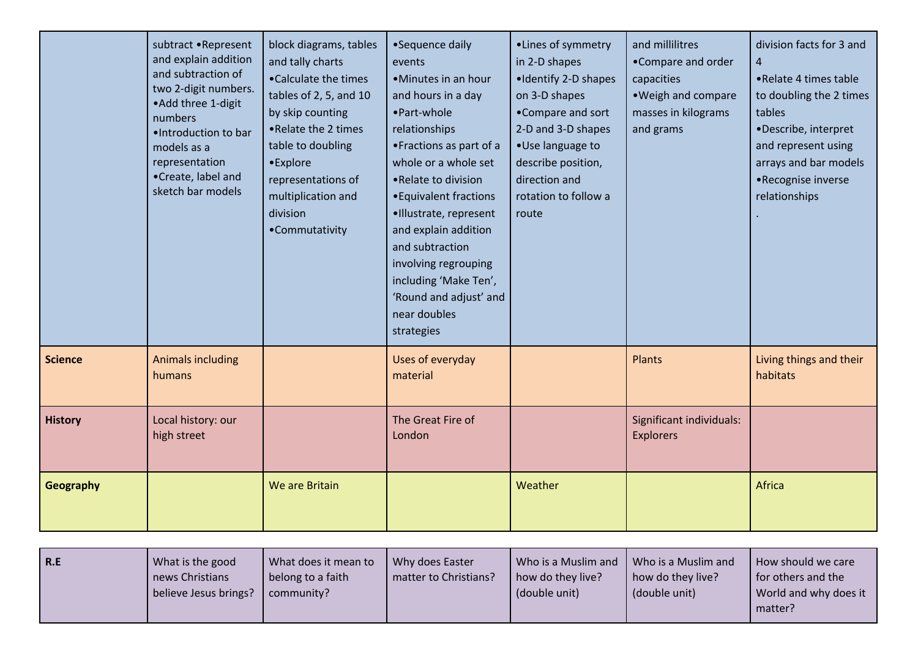|                | subtract .Represent<br>and explain addition<br>and subtraction of<br>two 2-digit numbers.<br>• Add three 1-digit<br>numbers<br>·Introduction to bar<br>models as a<br>representation<br>•Create, label and<br>sketch bar models | block diagrams, tables<br>and tally charts<br>•Calculate the times<br>tables of 2, 5, and 10<br>by skip counting<br>.Relate the 2 times<br>table to doubling<br>•Explore<br>representations of<br>multiplication and<br>division<br>•Commutativity | •Sequence daily<br>events<br>•Minutes in an hour<br>and hours in a day<br>• Part-whole<br>relationships<br>• Fractions as part of a<br>whole or a whole set<br>• Relate to division<br>• Equivalent fractions<br>·Illustrate, represent<br>and explain addition<br>and subtraction<br>involving regrouping<br>including 'Make Ten',<br>'Round and adjust' and<br>near doubles<br>strategies | •Lines of symmetry<br>in 2-D shapes<br>•Identify 2-D shapes<br>on 3-D shapes<br>•Compare and sort<br>2-D and 3-D shapes<br>·Use language to<br>describe position,<br>direction and<br>rotation to follow a<br>route | and millilitres<br>•Compare and order<br>capacities<br>. Weigh and compare<br>masses in kilograms<br>and grams | division facts for 3 and<br>$\overline{a}$<br>• Relate 4 times table<br>to doubling the 2 times<br>tables<br>•Describe, interpret<br>and represent using<br>arrays and bar models<br>•Recognise inverse<br>relationships |
|----------------|---------------------------------------------------------------------------------------------------------------------------------------------------------------------------------------------------------------------------------|----------------------------------------------------------------------------------------------------------------------------------------------------------------------------------------------------------------------------------------------------|---------------------------------------------------------------------------------------------------------------------------------------------------------------------------------------------------------------------------------------------------------------------------------------------------------------------------------------------------------------------------------------------|---------------------------------------------------------------------------------------------------------------------------------------------------------------------------------------------------------------------|----------------------------------------------------------------------------------------------------------------|--------------------------------------------------------------------------------------------------------------------------------------------------------------------------------------------------------------------------|
| <b>Science</b> | <b>Animals including</b><br>humans                                                                                                                                                                                              |                                                                                                                                                                                                                                                    | Uses of everyday<br>material                                                                                                                                                                                                                                                                                                                                                                |                                                                                                                                                                                                                     | Plants                                                                                                         | Living things and their<br>habitats                                                                                                                                                                                      |
| <b>History</b> | Local history: our<br>high street                                                                                                                                                                                               |                                                                                                                                                                                                                                                    | The Great Fire of<br>London                                                                                                                                                                                                                                                                                                                                                                 |                                                                                                                                                                                                                     | Significant individuals:<br><b>Explorers</b>                                                                   |                                                                                                                                                                                                                          |
| Geography      |                                                                                                                                                                                                                                 | We are Britain                                                                                                                                                                                                                                     |                                                                                                                                                                                                                                                                                                                                                                                             | Weather                                                                                                                                                                                                             |                                                                                                                | Africa                                                                                                                                                                                                                   |

| <b>R.E</b> | What is the good      | What does it mean to | Why does Easter       | Who is a Muslim and | Who is a Muslim and | How should we care    |
|------------|-----------------------|----------------------|-----------------------|---------------------|---------------------|-----------------------|
|            | news Christians       | belong to a faith    | matter to Christians? | how do they live?   | how do they live?   | for others and the    |
|            | believe Jesus brings? | community?           |                       | (double unit)       | (double unit)       | World and why does it |
|            |                       |                      |                       |                     |                     | matter?               |